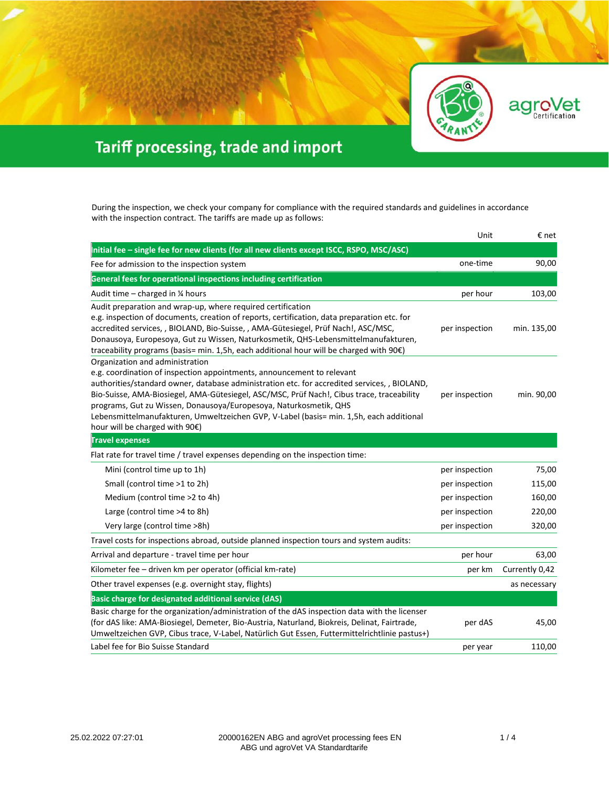

aar

O

'et

## Tariff processing, trade and import

During the inspection, we check your company for compliance with the required standards and guidelines in accordance with the inspection contract. The tariffs are made up as follows:

|                                                                                                                                                                                                                                                                                                                                                                                                                                                                                                          | Unit           | € net          |
|----------------------------------------------------------------------------------------------------------------------------------------------------------------------------------------------------------------------------------------------------------------------------------------------------------------------------------------------------------------------------------------------------------------------------------------------------------------------------------------------------------|----------------|----------------|
| Initial fee - single fee for new clients (for all new clients except ISCC, RSPO, MSC/ASC)                                                                                                                                                                                                                                                                                                                                                                                                                |                |                |
| Fee for admission to the inspection system                                                                                                                                                                                                                                                                                                                                                                                                                                                               | one-time       | 90,00          |
| General fees for operational inspections including certification                                                                                                                                                                                                                                                                                                                                                                                                                                         |                |                |
| Audit time - charged in 1/4 hours                                                                                                                                                                                                                                                                                                                                                                                                                                                                        | per hour       | 103,00         |
| Audit preparation and wrap-up, where required certification<br>e.g. inspection of documents, creation of reports, certification, data preparation etc. for<br>accredited services, , BIOLAND, Bio-Suisse, , AMA-Gütesiegel, Prüf Nach!, ASC/MSC,<br>Donausoya, Europesoya, Gut zu Wissen, Naturkosmetik, QHS-Lebensmittelmanufakturen,<br>traceability programs (basis= min. 1,5h, each additional hour will be charged with 90€)                                                                        | per inspection | min. 135,00    |
| Organization and administration<br>e.g. coordination of inspection appointments, announcement to relevant<br>authorities/standard owner, database administration etc. for accredited services, , BIOLAND,<br>Bio-Suisse, AMA-Biosiegel, AMA-Gütesiegel, ASC/MSC, Prüf Nach!, Cibus trace, traceability<br>programs, Gut zu Wissen, Donausoya/Europesoya, Naturkosmetik, QHS<br>Lebensmittelmanufakturen, Umweltzeichen GVP, V-Label (basis= min. 1,5h, each additional<br>hour will be charged with 90€) | per inspection | min. 90,00     |
| <b>Travel expenses</b>                                                                                                                                                                                                                                                                                                                                                                                                                                                                                   |                |                |
| Flat rate for travel time / travel expenses depending on the inspection time:                                                                                                                                                                                                                                                                                                                                                                                                                            |                |                |
| Mini (control time up to 1h)                                                                                                                                                                                                                                                                                                                                                                                                                                                                             | per inspection | 75,00          |
| Small (control time >1 to 2h)                                                                                                                                                                                                                                                                                                                                                                                                                                                                            | per inspection | 115,00         |
| Medium (control time >2 to 4h)                                                                                                                                                                                                                                                                                                                                                                                                                                                                           | per inspection | 160,00         |
| Large (control time >4 to 8h)                                                                                                                                                                                                                                                                                                                                                                                                                                                                            | per inspection | 220,00         |
| Very large (control time >8h)                                                                                                                                                                                                                                                                                                                                                                                                                                                                            | per inspection | 320,00         |
| Travel costs for inspections abroad, outside planned inspection tours and system audits:                                                                                                                                                                                                                                                                                                                                                                                                                 |                |                |
| Arrival and departure - travel time per hour                                                                                                                                                                                                                                                                                                                                                                                                                                                             | per hour       | 63,00          |
| Kilometer fee - driven km per operator (official km-rate)                                                                                                                                                                                                                                                                                                                                                                                                                                                | per km         | Currently 0,42 |
| Other travel expenses (e.g. overnight stay, flights)                                                                                                                                                                                                                                                                                                                                                                                                                                                     |                | as necessary   |
| Basic charge for designated additional service (dAS)                                                                                                                                                                                                                                                                                                                                                                                                                                                     |                |                |
| Basic charge for the organization/administration of the dAS inspection data with the licenser<br>(for dAS like: AMA-Biosiegel, Demeter, Bio-Austria, Naturland, Biokreis, Delinat, Fairtrade,<br>Umweltzeichen GVP, Cibus trace, V-Label, Natürlich Gut Essen, Futtermittelrichtlinie pastus+)                                                                                                                                                                                                           | per dAS        | 45,00          |
| Label fee for Bio Suisse Standard                                                                                                                                                                                                                                                                                                                                                                                                                                                                        | per year       | 110,00         |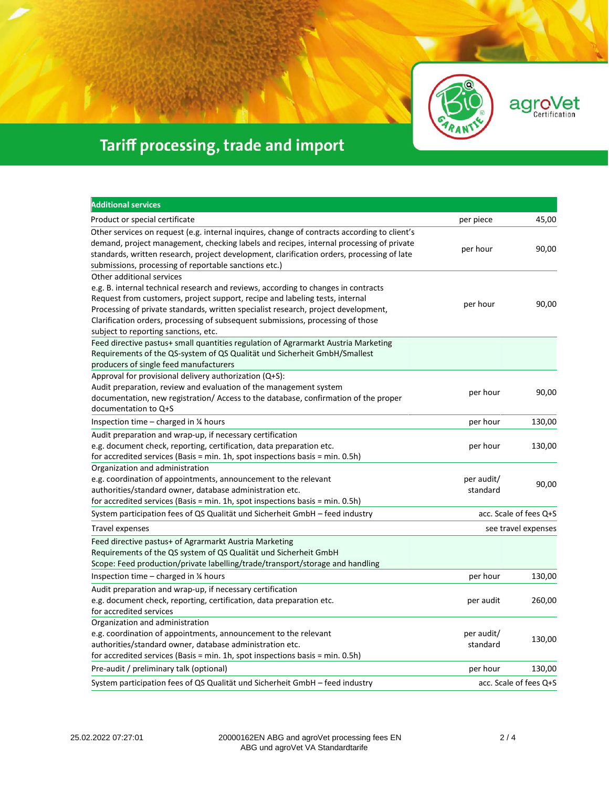

agroVet

## Tariff processing, trade and import

| <b>Additional services</b>                                                                                                                                                                                                                                                                                                                                                                                       |                        |                        |
|------------------------------------------------------------------------------------------------------------------------------------------------------------------------------------------------------------------------------------------------------------------------------------------------------------------------------------------------------------------------------------------------------------------|------------------------|------------------------|
| Product or special certificate                                                                                                                                                                                                                                                                                                                                                                                   | per piece              | 45,00                  |
| Other services on request (e.g. internal inquires, change of contracts according to client's<br>demand, project management, checking labels and recipes, internal processing of private<br>standards, written research, project development, clarification orders, processing of late<br>submissions, processing of reportable sanctions etc.)                                                                   | per hour               | 90,00                  |
| Other additional services<br>e.g. B. internal technical research and reviews, according to changes in contracts<br>Request from customers, project support, recipe and labeling tests, internal<br>Processing of private standards, written specialist research, project development,<br>Clarification orders, processing of subsequent submissions, processing of those<br>subject to reporting sanctions, etc. | per hour               | 90,00                  |
| Feed directive pastus+ small quantities regulation of Agrarmarkt Austria Marketing<br>Requirements of the QS-system of QS Qualität und Sicherheit GmbH/Smallest<br>producers of single feed manufacturers                                                                                                                                                                                                        |                        |                        |
| Approval for provisional delivery authorization (Q+S):<br>Audit preparation, review and evaluation of the management system<br>documentation, new registration/ Access to the database, confirmation of the proper<br>documentation to Q+S                                                                                                                                                                       | per hour               | 90,00                  |
| Inspection time $-$ charged in $\frac{1}{4}$ hours                                                                                                                                                                                                                                                                                                                                                               | per hour               | 130,00                 |
| Audit preparation and wrap-up, if necessary certification<br>e.g. document check, reporting, certification, data preparation etc.<br>for accredited services (Basis = min. 1h, spot inspections basis = min. 0.5h)                                                                                                                                                                                               | per hour               | 130,00                 |
| Organization and administration<br>e.g. coordination of appointments, announcement to the relevant<br>authorities/standard owner, database administration etc.<br>for accredited services (Basis = min. 1h, spot inspections basis = min. 0.5h)                                                                                                                                                                  | per audit/<br>standard | 90,00                  |
| System participation fees of QS Qualität und Sicherheit GmbH – feed industry                                                                                                                                                                                                                                                                                                                                     |                        | acc. Scale of fees Q+S |
| Travel expenses                                                                                                                                                                                                                                                                                                                                                                                                  |                        | see travel expenses    |
| Feed directive pastus+ of Agrarmarkt Austria Marketing<br>Requirements of the QS system of QS Qualität und Sicherheit GmbH<br>Scope: Feed production/private labelling/trade/transport/storage and handling                                                                                                                                                                                                      |                        |                        |
| Inspection time $-$ charged in $\frac{1}{4}$ hours                                                                                                                                                                                                                                                                                                                                                               | per hour               | 130,00                 |
| Audit preparation and wrap-up, if necessary certification<br>e.g. document check, reporting, certification, data preparation etc.<br>for accredited services                                                                                                                                                                                                                                                     | per audit              | 260,00                 |
| Organization and administration<br>e.g. coordination of appointments, announcement to the relevant<br>authorities/standard owner, database administration etc.<br>for accredited services (Basis = min. 1h, spot inspections basis = min. 0.5h)                                                                                                                                                                  | per audit/<br>standard | 130,00                 |
| Pre-audit / preliminary talk (optional)                                                                                                                                                                                                                                                                                                                                                                          | per hour               | 130,00                 |
| System participation fees of QS Qualität und Sicherheit GmbH - feed industry                                                                                                                                                                                                                                                                                                                                     |                        | acc. Scale of fees Q+S |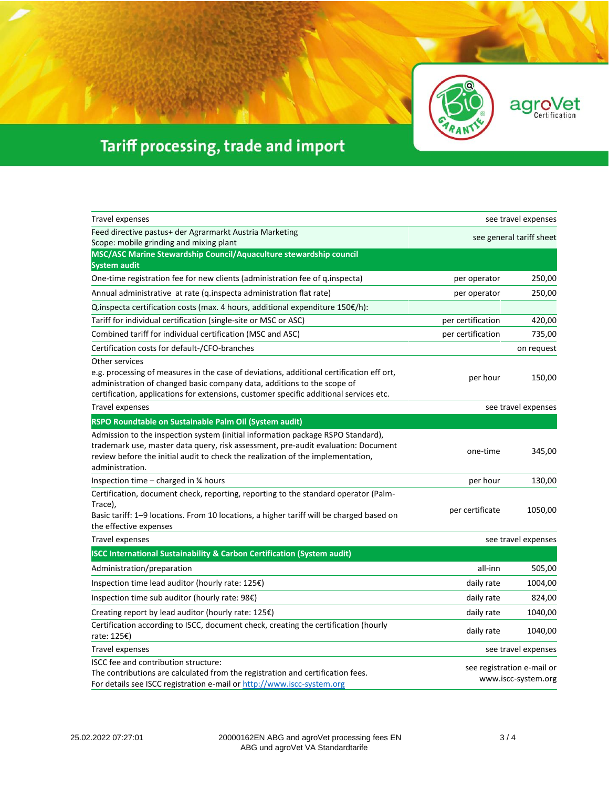



## Tariff processing, trade and import

| Travel expenses                                                                                                                                                                                                                                                                 | see travel expenses                               |                     |
|---------------------------------------------------------------------------------------------------------------------------------------------------------------------------------------------------------------------------------------------------------------------------------|---------------------------------------------------|---------------------|
| Feed directive pastus+ der Agrarmarkt Austria Marketing                                                                                                                                                                                                                         | see general tariff sheet                          |                     |
| Scope: mobile grinding and mixing plant                                                                                                                                                                                                                                         |                                                   |                     |
| MSC/ASC Marine Stewardship Council/Aquaculture stewardship council<br><b>System audit</b>                                                                                                                                                                                       |                                                   |                     |
| One-time registration fee for new clients (administration fee of q.inspecta)                                                                                                                                                                                                    | per operator                                      | 250,00              |
| Annual administrative at rate (q.inspecta administration flat rate)                                                                                                                                                                                                             | per operator                                      | 250,00              |
| Q.inspecta certification costs (max. 4 hours, additional expenditure 150 $\epsilon$ /h):                                                                                                                                                                                        |                                                   |                     |
| Tariff for individual certification (single-site or MSC or ASC)                                                                                                                                                                                                                 | per certification                                 | 420,00              |
| Combined tariff for individual certification (MSC and ASC)                                                                                                                                                                                                                      | per certification                                 | 735,00              |
| Certification costs for default-/CFO-branches                                                                                                                                                                                                                                   |                                                   | on request          |
| Other services<br>e.g. processing of measures in the case of deviations, additional certification eff ort,<br>administration of changed basic company data, additions to the scope of<br>certification, applications for extensions, customer specific additional services etc. | per hour                                          | 150,00              |
| <b>Travel expenses</b>                                                                                                                                                                                                                                                          |                                                   | see travel expenses |
| RSPO Roundtable on Sustainable Palm Oil (System audit)                                                                                                                                                                                                                          |                                                   |                     |
| Admission to the inspection system (initial information package RSPO Standard),<br>trademark use, master data query, risk assessment, pre-audit evaluation: Document<br>review before the initial audit to check the realization of the implementation,<br>administration.      | one-time                                          | 345,00              |
| Inspection time $-$ charged in $\frac{1}{4}$ hours                                                                                                                                                                                                                              | per hour                                          | 130,00              |
| Certification, document check, reporting, reporting to the standard operator (Palm-<br>Trace),<br>Basic tariff: 1–9 locations. From 10 locations, a higher tariff will be charged based on<br>the effective expenses                                                            | per certificate                                   | 1050,00             |
| <b>Travel expenses</b>                                                                                                                                                                                                                                                          |                                                   | see travel expenses |
| <b>ISCC International Sustainability &amp; Carbon Certification (System audit)</b>                                                                                                                                                                                              |                                                   |                     |
| Administration/preparation                                                                                                                                                                                                                                                      | all-inn                                           | 505,00              |
| Inspection time lead auditor (hourly rate: 125€)                                                                                                                                                                                                                                | daily rate                                        | 1004,00             |
| Inspection time sub auditor (hourly rate: $98E$ )                                                                                                                                                                                                                               | daily rate                                        | 824,00              |
| Creating report by lead auditor (hourly rate: $125 \epsilon$ )                                                                                                                                                                                                                  | daily rate                                        | 1040,00             |
| Certification according to ISCC, document check, creating the certification (hourly<br>rate: 125€)                                                                                                                                                                              | daily rate                                        | 1040,00             |
| Travel expenses                                                                                                                                                                                                                                                                 | see travel expenses                               |                     |
| ISCC fee and contribution structure:<br>The contributions are calculated from the registration and certification fees.<br>For details see ISCC registration e-mail or http://www.iscc-system.org                                                                                | see registration e-mail or<br>www.iscc-system.org |                     |